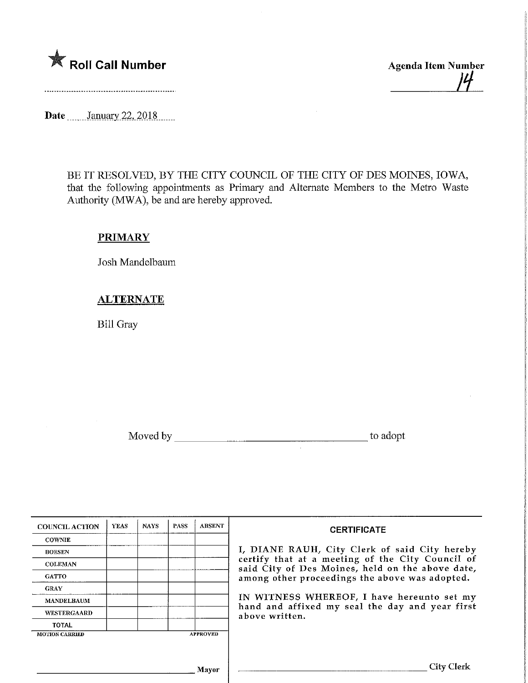

Date **.........** January 22, 2018

BE IT RESOLVED, BY THE CITY COUNCIL OF THE CITY OF DES MOINES, IOWA, that the following appointments as Primary and Alternate Members to the Metro Waste Authority (MWA), be and are hereby approved.

## **PRIMARY**

Josh Mandelbaum

## ALTERNATE

Bill Gray

Moved by to adopt to adopt to a series to a series to a series to a series to a series to a series to a series to a series of  $\sim$ 

| <b>COUNCIL ACTION</b> | <b>YEAS</b> | <b>NAYS</b> | <b>PASS</b> | <b>ABSENT</b>   | <b>CERTIFICATE</b><br>I, DIANE RAUH, City Clerk of said City hereby                                             |  |  |
|-----------------------|-------------|-------------|-------------|-----------------|-----------------------------------------------------------------------------------------------------------------|--|--|
| <b>COWNIE</b>         |             |             |             |                 |                                                                                                                 |  |  |
| <b>BOESEN</b>         |             |             |             |                 |                                                                                                                 |  |  |
| <b>COLEMAN</b>        |             |             |             |                 | certify that at a meeting of the City Council of<br>said City of Des Moines, held on the above date,            |  |  |
| <b>GATTO</b>          |             |             |             |                 | among other proceedings the above was adopted.                                                                  |  |  |
| <b>GRAY</b>           |             |             |             |                 |                                                                                                                 |  |  |
| <b>MANDELBAUM</b>     |             |             |             |                 | IN WITNESS WHEREOF, I have hereunto set my<br>hand and affixed my seal the day and year first<br>above written. |  |  |
| <b>WESTERGAARD</b>    |             |             |             |                 |                                                                                                                 |  |  |
| <b>TOTAL</b>          |             |             |             |                 |                                                                                                                 |  |  |
| <b>MOTION CARRIED</b> |             |             |             | <b>APPROVED</b> |                                                                                                                 |  |  |
|                       |             |             |             |                 |                                                                                                                 |  |  |
|                       |             |             |             |                 |                                                                                                                 |  |  |
|                       |             |             |             | <b>Mavor</b>    | City Clerk                                                                                                      |  |  |